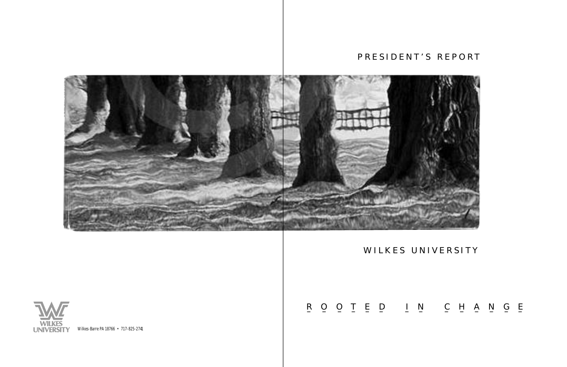



# P R E S I D E N T ' S R E P O R T

# WILKES UNIVERSITY

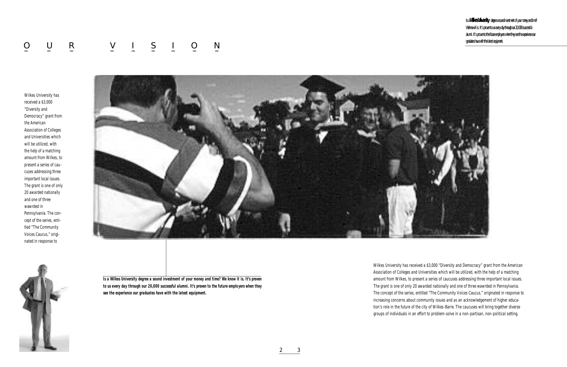Wilkes University has received a \$3,000 "Diversity and Democracy" grant from the American Association of Colleges and Universities which will be utilized, with the help of a matching amount from Wilkes, to present a series of caucuses addressing three important local issues. The grant is one of only 20 awarded nationally and one of three wawrded in Pennsylvania. The concept of the series, entitled "The Community Voices Caucus," originated in response to increasing concerns about community issues and as an acknowledgement of higher education's role in the future of the city of Wilkes-Barre. The caucuses will bring together diverse groups of individuals in an effort to problem-solve in a non-partisan, non-political setting.

Wilkes University has received a \$3,000 "Diversity and Democracy" grant from the American Association of Colleges and Universities which will be utilized, with the help of a matching amount from Wilkes, to present a series of caucuses addressing three important local issues. The grant is one of only 20 awarded nationally and one of three wawrded in Pennsylvania. The concept of the series, entitled "The Community Voices Caucus," originated in response to





*Is a Wilkes University degree a sound investment of your money and time? We know it is. It's proven to us every day through our 20,000 successful alumni. It's proven to the future employers when they see the experience our graduates have with the latest equipment.*

Is a **Wilkes University** degree a sound investment of your money and time? We know it is. It's proven to us every day through our 20,000 successful alumni. It's proven to the future employers when they see the experience our graduates have with the latest equipment.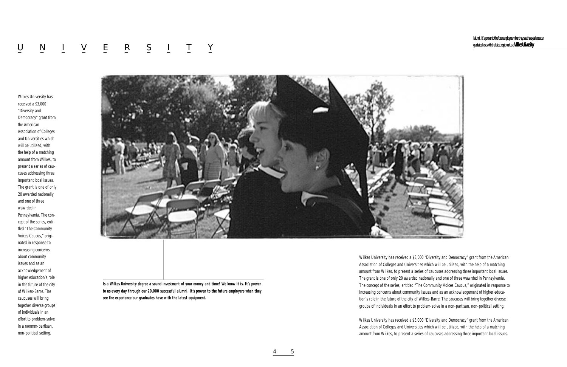Wilkes University has received a \$3,000 "Diversity and Democracy" grant from the American Association of Colleges and Universities which will be utilized, with the help of a matching amount from Wilkes, to present a series of caucuses addressing three important local issues. The grant is one of only 20 awarded nationally and one of three wawrded in Pennsylvania. The concept of the series, entitled "The Community Voices Caucus," originated in response to increasing concerns about community issues and as an acknowledgement of higher education's role in the future of the city of Wilkes-Barre. The caucuses will bring together diverse groups of individuals in an effort to problem-solve in a non-partisan, non-political setting.

Wilkes University has received a \$3,000 "Diversity and Democracy" grant from the American Association of Colleges and Universities which will be utilized, with the help of a matching amount from Wilkes, to present a series of caucuses addressing three important local issues.

Ialumni. It's proven to the future employers when they see the experience our graduates have with the latest equipment.s a **Wilkes University**

# U N I V E R S I T Y – <u>– – – – – – – – – –</u>

Wilkes University has received a \$3,000 "Diversity and Democracy" grant from the American Association of Colleges and Universities which will be utilized, with the help of a matching amount from Wilkes, to present a series of caucuses addressing three important local issues. The grant is one of only 20 awarded nationally and one of three wawrded in Pennsylvania. The concept of the series, enti tled "The Community Voices Caucus," originated in response to increasing concerns about community issues and as an acknowledgement of higher education's role in the future of the city of Wilkes-Barre. The caucuses will bring together diverse groups of individuals in an effort to problem-solve in a nonmm-partisan, non-political setting.



*Is a Wilkes University degree a sound investment of your money and time? We know it is. It's proven to us every day through our 20,000 successful alumni. It's proven to the future employers when they see the experience our graduates have with the latest equipment.*

4 5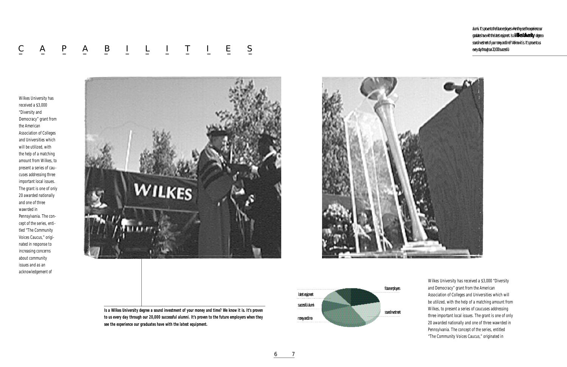# $\underline{C} \qquad \underline{A} \qquad \underline{P} \qquad \underline{A} \qquad \underline{B} \qquad \underline{I} \qquad \underline{L} \qquad \underline{I} \qquad \underline{T} \qquad \underline{I} \qquad \underline{E} \qquad \underline{S}$ – – – – – – – – – – – –

Wilkes University has received a \$3,000 "Diversity and Democracy" grant from the American Association of Colleges and Universities which will be utilized, with the help of a matching amount from Wilkes, to present a series of caucuses addressing three important local issues. The grant is one of only 20 awarded nationally and one of three wawrded in Pennsylvania. The concept of the series, entitled "The Community Voices Caucus," originated in

Wilkes University has received a \$3,000 "Diversity and Democracy" grant from the American Association of Colleges and Universities which will be utilized, with the help of a matching amount from Wilkes, to present a series of caucuses addressing three important local issues. The grant is one of only 20 awarded nationally and one of three wawrded in Pennsylvania. The concept of the series, entitled "The Community Voices Caucus," originated in response to increasing concerns about community issues and as an acknowledgement of





*Is a Wilkes University degree a sound investment of your money and time? We know it is. It's proven to us every day through our 20,000 successful alumni. It's proven to the future employers when they see the experience our graduates have with the latest equipment.*

6 7

alumni. It's proven to the future employers when they see the experience our graduates have with the latest equipment. Is a **Wilkes University** degree a sound investment of your money and time? We know it is. It's proven to us every day through our 20,000 successful

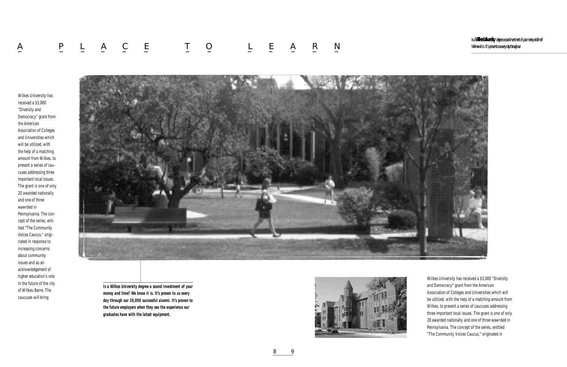Wilkes University has received a \$3,000 "Diversity and Democracy" grant from the American Association of Colleges and Universities which will be utilized, with the help of a matching amount from Wilkes, to present a series of caucuses addressing three important local issues. The grant is one of only 20 awarded nationally and one of three wawrded in Pennsylvania. The concept of the series, entitled "The Community Voices Caucus," originated in

# A P L A C E T O L E A R N – – – – – – – – – – – – – – – – – –<br>– – – – – – – – – – – – – – – – – –

Wilkes University has received a \$3,000 "Diversity and Democracy" grant from the American Association of Colleges and Universities which will be utilized, with the help of a matching amount from Wilkes, to present a series of caucuses addressing three important local issues. The grant is one of only 20 awarded nationally and one of three wawrded in Pennsylvania. The concept of the series, entitled "The Community Voices Caucus," originated in response to increasing concerns about community issues and as an acknowledgement of higher education's role in the future of the city of Wilkes-Barre. The caucuses will bring



*Is a Wilkes University degree a sound investment of your money and time? We know it is. It's proven to us every day through our 20,000 successful alumni. It's proven to the future employers when they see the experience our graduates have with the latest equipment.*



8 9

Is a **Wilkes University** degree a sound investment of your money and time? We know it is. It's proven to us every day through our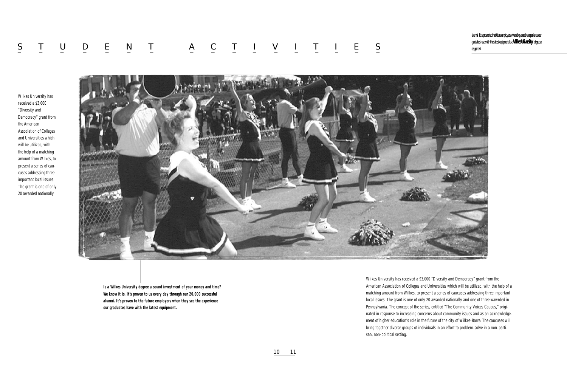Wilkes University has received a \$3,000 "Diversity and Democracy" grant from the American Association of Colleges and Universities which will be utilized, with the help of a matching amount from Wilkes, to present a series of caucuses addressing three important local issues. The grant is one of only 20 awarded nationally and one of three wawrded in Pennsylvania. The concept of the series, entitled "The Community Voices Caucus," originated in response to increasing concerns about community issues and as an acknowledgement of higher education's role in the future of the city of Wilkes-Barre. The caucuses will bring together diverse groups of individuals in an effort to problem-solve in a non-partisan, non-political setting.

# S T U D E N T A C T I V I T I E S – – – – – – – – – – – – – – – – – – –<br>– – – – – – – – – – – – – – – – – –

Wilkes University has received a \$3,000 "Diversity and Democracy" grant from the American Association of Colleges and Universities which will be utilized, with the help of a matching amount from Wilkes, to present a series of caucuses addressing three important local issues. The grant is one of only 20 awarded nationally



*Is a Wilkes University degree a sound investment of your money and time? We know it is. It's proven to us every day through our 20,000 successful alumni. It's proven to the future employers when they see the experience our graduates have with the latest equipment.*

alumni. It's proven to the future employers when they see the experience our graduates have with the latest equipment.Is a **Wilkes University** degree a equipment.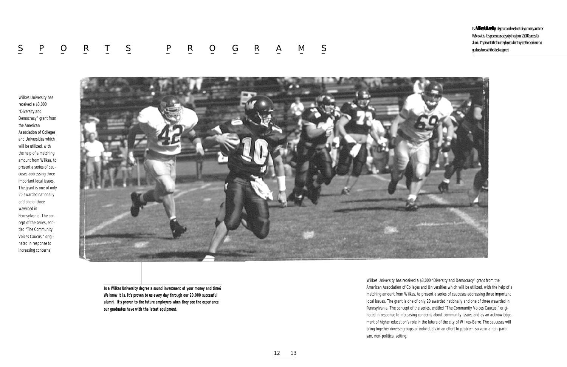Wilkes University has received a \$3,000 "Diversity and Democracy" grant from the American Association of Colleges and Universities which will be utilized, with the help of a matching amount from Wilkes, to present a series of caucuses addressing three important local issues. The grant is one of only 20 awarded nationally and one of three wawrded in Pennsylvania. The concept of the series, entitled "The Community Voices Caucus," originated in response to increasing concerns about community issues and as an acknowledgement of higher education's role in the future of the city of Wilkes-Barre. The caucuses will bring together diverse groups of individuals in an effort to problem-solve in a non-partisan, non-political setting.

## S P O R T S P R O G R A M S – – – – – – – – – – – – – – – – –

Wilkes University has received a \$3,000 "Diversity and Democracy" grant from the American Association of Colleges and Universities which will be utilized, with the help of a matching amount from Wilkes, to present a series of caucuses addressing three important local issues. The grant is one of only 20 awarded nationally and one of three wawrded in Pennsylvania. The concept of the series, entitled "The Community Voices Caucus," originated in response to increasing concerns



*Is a Wilkes University degree a sound investment of your money and time? We know it is. It's proven to us every day through our 20,000 successful alumni. It's proven to the future employers when they see the experience our graduates have with the latest equipment.*

12 13

Is a **Wilkes University** degree a sound investment of your money and time? We know it is. It's proven to us every day through our 20,000 successful alumni. It's proven to the future employers when they see the experience our graduates have with the latest equipment.